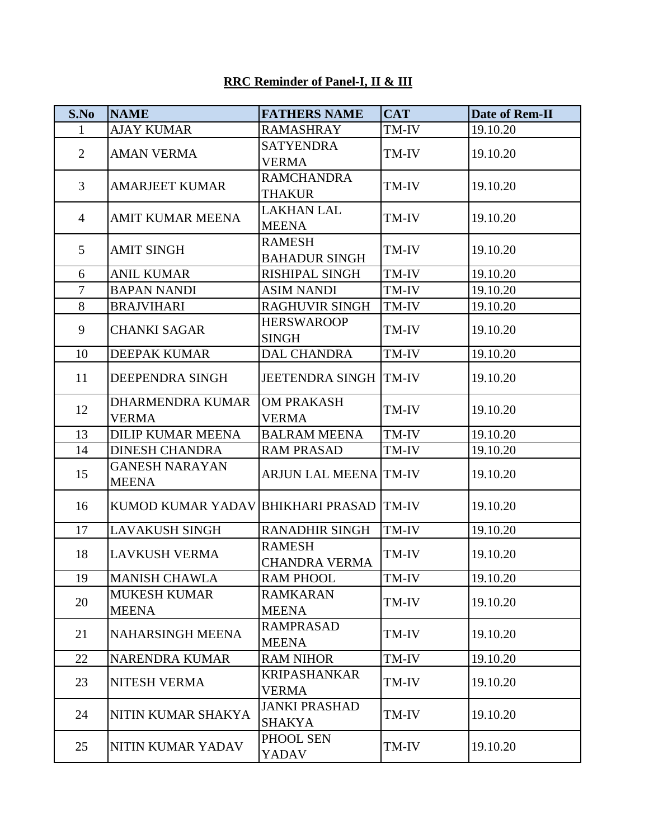## **RRC Reminder of Panel-I, II & III**

| S.No           | <b>NAME</b>                             | <b>FATHERS NAME</b>              | <b>CAT</b> | <b>Date of Rem-II</b> |
|----------------|-----------------------------------------|----------------------------------|------------|-----------------------|
| $\mathbf{1}$   | <b>AJAY KUMAR</b>                       | <b>RAMASHRAY</b>                 | TM-IV      | 19.10.20              |
| $\overline{2}$ | <b>AMAN VERMA</b>                       | <b>SATYENDRA</b>                 | TM-IV      | 19.10.20              |
|                |                                         | <b>VERMA</b>                     |            |                       |
| $\overline{3}$ | <b>AMARJEET KUMAR</b>                   | <b>RAMCHANDRA</b>                | TM-IV      | 19.10.20              |
|                |                                         | <b>THAKUR</b>                    |            |                       |
| $\overline{4}$ | <b>AMIT KUMAR MEENA</b>                 | <b>LAKHAN LAL</b>                | TM-IV      | 19.10.20              |
|                |                                         | <b>MEENA</b>                     |            |                       |
| 5              | <b>AMIT SINGH</b>                       | <b>RAMESH</b>                    | TM-IV      | 19.10.20              |
|                |                                         | <b>BAHADUR SINGH</b>             |            |                       |
| 6              | <b>ANIL KUMAR</b>                       | RISHIPAL SINGH                   | TM-IV      | 19.10.20              |
| $\overline{7}$ | <b>BAPAN NANDI</b>                      | <b>ASIM NANDI</b>                | TM-IV      | 19.10.20              |
| 8              | <b>BRAJVIHARI</b>                       | RAGHUVIR SINGH                   | TM-IV      | 19.10.20              |
| 9              | <b>CHANKI SAGAR</b>                     | <b>HERSWAROOP</b>                | TM-IV      | 19.10.20              |
|                |                                         | <b>SINGH</b>                     |            |                       |
| 10             | <b>DEEPAK KUMAR</b>                     | <b>DAL CHANDRA</b>               | TM-IV      | 19.10.20              |
| 11             | DEEPENDRA SINGH                         | <b>JEETENDRA SINGH TM-IV</b>     |            | 19.10.20              |
| 12             | <b>DHARMENDRA KUMAR</b>                 | <b>OM PRAKASH</b>                | TM-IV      | 19.10.20              |
|                | <b>VERMA</b>                            | <b>VERMA</b>                     |            |                       |
| 13             | <b>DILIP KUMAR MEENA</b>                | <b>BALRAM MEENA</b>              | TM-IV      | 19.10.20              |
| 14             | <b>DINESH CHANDRA</b>                   | <b>RAM PRASAD</b>                | TM-IV      | 19.10.20              |
| 15             | <b>GANESH NARAYAN</b><br><b>MEENA</b>   | <b>ARJUN LAL MEENA TM-IV</b>     |            | 19.10.20              |
| 16             | KUMOD KUMAR YADAV BHIKHARI PRASAD TM-IV |                                  |            | 19.10.20              |
| 17             | <b>LAVAKUSH SINGH</b>                   | <b>RANADHIR SINGH</b>            | TM-IV      | 19.10.20              |
| 18             | <b>LAVKUSH VERMA</b>                    | <b>RAMESH</b><br>CHANDRA VERMA   | TM-IV      | 19.10.20              |
| 19             | <b>MANISH CHAWLA</b>                    | <b>RAM PHOOL</b>                 | TM-IV      | 19.10.20              |
|                | <b>MUKESH KUMAR</b>                     | <b>RAMKARAN</b>                  |            | 19.10.20              |
| 20             | MEENA                                   | <b>MEENA</b>                     | TM-IV      |                       |
| 21             | <b>NAHARSINGH MEENA</b>                 | <b>RAMPRASAD</b><br><b>MEENA</b> | TM-IV      | 19.10.20              |
| 22             | <b>NARENDRA KUMAR</b>                   | <b>RAM NIHOR</b>                 | TM-IV      | 19.10.20              |
| 23             | NITESH VERMA                            | <b>KRIPASHANKAR</b>              | TM-IV      | 19.10.20              |
|                |                                         | VERMA                            |            |                       |
| 24             | NITIN KUMAR SHAKYA                      | <b>JANKI PRASHAD</b>             | TM-IV      | 19.10.20              |
|                |                                         | <b>SHAKYA</b>                    |            |                       |
| 25             | NITIN KUMAR YADAV                       | PHOOL SEN<br>YADAV               | TM-IV      | 19.10.20              |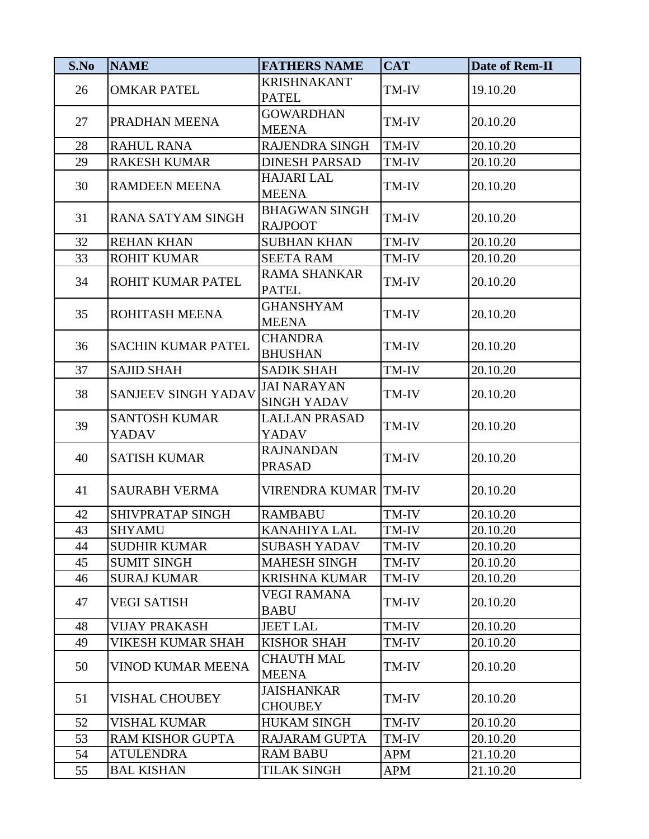| S.No | <b>NAME</b>                          | <b>FATHERS NAME</b>                      | <b>CAT</b> | <b>Date of Rem-II</b> |
|------|--------------------------------------|------------------------------------------|------------|-----------------------|
| 26   | <b>OMKAR PATEL</b>                   | <b>KRISHNAKANT</b>                       | TM-IV      | 19.10.20              |
|      |                                      | <b>PATEL</b>                             |            |                       |
| 27   | PRADHAN MEENA                        | <b>GOWARDHAN</b>                         | TM-IV      | 20.10.20              |
|      |                                      | <b>MEENA</b>                             |            |                       |
| 28   | <b>RAHUL RANA</b>                    | RAJENDRA SINGH                           | TM-IV      | 20.10.20              |
| 29   | <b>RAKESH KUMAR</b>                  | <b>DINESH PARSAD</b>                     | TM-IV      | 20.10.20              |
| 30   | <b>RAMDEEN MEENA</b>                 | <b>HAJARI LAL</b><br><b>MEENA</b>        | TM-IV      | 20.10.20              |
| 31   | <b>RANA SATYAM SINGH</b>             | <b>BHAGWAN SINGH</b><br><b>RAJPOOT</b>   | TM-IV      | 20.10.20              |
| 32   | <b>REHAN KHAN</b>                    | <b>SUBHAN KHAN</b>                       | TM-IV      | 20.10.20              |
| 33   | <b>ROHIT KUMAR</b>                   | <b>SEETA RAM</b>                         | TM-IV      | 20.10.20              |
| 34   | ROHIT KUMAR PATEL                    | <b>RAMA SHANKAR</b><br><b>PATEL</b>      | TM-IV      | 20.10.20              |
| 35   | ROHITASH MEENA                       | <b>GHANSHYAM</b><br><b>MEENA</b>         | TM-IV      | 20.10.20              |
| 36   | <b>SACHIN KUMAR PATEL</b>            | <b>CHANDRA</b><br><b>BHUSHAN</b>         | TM-IV      | 20.10.20              |
| 37   | <b>SAJID SHAH</b>                    | <b>SADIK SHAH</b>                        | TM-IV      | 20.10.20              |
| 38   | SANJEEV SINGH YADAV                  | <b>JAI NARAYAN</b><br><b>SINGH YADAV</b> | TM-IV      | 20.10.20              |
| 39   | <b>SANTOSH KUMAR</b><br><b>YADAV</b> | <b>LALLAN PRASAD</b><br><b>YADAV</b>     | TM-IV      | 20.10.20              |
| 40   | <b>SATISH KUMAR</b>                  | <b>RAJNANDAN</b><br><b>PRASAD</b>        | TM-IV      | 20.10.20              |
| 41   | <b>SAURABH VERMA</b>                 | VIRENDRA KUMAR TM-IV                     |            | 20.10.20              |
| 42   | SHIVPRATAP SINGH                     | <b>RAMBABU</b>                           | TM-IV      | 20.10.20              |
| 43   | <b>SHYAMU</b>                        | KANAHIYA LAL                             | TM-IV      | 20.10.20              |
| 44   | <b>SUDHIR KUMAR</b>                  | <b>SUBASH YADAV</b>                      | TM-IV      | 20.10.20              |
| 45   | <b>SUMIT SINGH</b>                   | <b>MAHESH SINGH</b>                      | TM-IV      | 20.10.20              |
| 46   | <b>SURAJ KUMAR</b>                   | KRISHNA KUMAR                            | TM-IV      | 20.10.20              |
| 47   | <b>VEGI SATISH</b>                   | <b>VEGI RAMANA</b><br><b>BABU</b>        | TM-IV      | 20.10.20              |
| 48   | <b>VIJAY PRAKASH</b>                 | <b>JEET LAL</b>                          | TM-IV      | 20.10.20              |
| 49   | VIKESH KUMAR SHAH                    | <b>KISHOR SHAH</b>                       | TM-IV      | 20.10.20              |
| 50   | <b>VINOD KUMAR MEENA</b>             | <b>CHAUTH MAL</b><br><b>MEENA</b>        | TM-IV      | 20.10.20              |
| 51   | <b>VISHAL CHOUBEY</b>                | <b>JAISHANKAR</b><br><b>CHOUBEY</b>      | TM-IV      | 20.10.20              |
| 52   | <b>VISHAL KUMAR</b>                  | <b>HUKAM SINGH</b>                       | TM-IV      | 20.10.20              |
| 53   | <b>RAM KISHOR GUPTA</b>              | RAJARAM GUPTA                            | TM-IV      | 20.10.20              |
| 54   | <b>ATULENDRA</b>                     | <b>RAM BABU</b>                          | <b>APM</b> | 21.10.20              |
| 55   | <b>BAL KISHAN</b>                    | <b>TILAK SINGH</b>                       | APM        | 21.10.20              |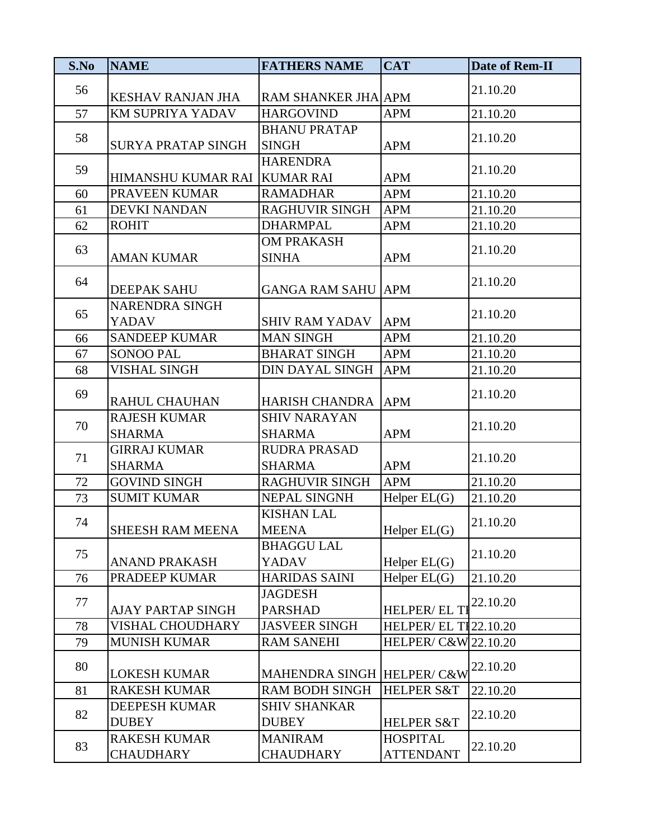| S.No | <b>NAME</b>                             | <b>FATHERS NAME</b>                  | <b>CAT</b>                                                                | Date of Rem-II |
|------|-----------------------------------------|--------------------------------------|---------------------------------------------------------------------------|----------------|
| 56   | <b>KESHAV RANJAN JHA</b>                | RAM SHANKER JHA APM                  |                                                                           | 21.10.20       |
| 57   | KM SUPRIYA YADAV                        | <b>HARGOVIND</b>                     | APM                                                                       | 21.10.20       |
| 58   | <b>SURYA PRATAP SINGH</b>               | <b>BHANU PRATAP</b><br><b>SINGH</b>  | <b>APM</b>                                                                | 21.10.20       |
| 59   | HIMANSHU KUMAR RAI KUMAR RAI            | <b>HARENDRA</b>                      | <b>APM</b>                                                                | 21.10.20       |
| 60   | PRAVEEN KUMAR                           | <b>RAMADHAR</b>                      | <b>APM</b>                                                                | 21.10.20       |
| 61   | <b>DEVKI NANDAN</b>                     | <b>RAGHUVIR SINGH</b>                | <b>APM</b>                                                                | 21.10.20       |
| 62   | <b>ROHIT</b>                            | <b>DHARMPAL</b>                      | <b>APM</b>                                                                | 21.10.20       |
| 63   | <b>AMAN KUMAR</b>                       | <b>OM PRAKASH</b><br><b>SINHA</b>    | <b>APM</b>                                                                | 21.10.20       |
| 64   | <b>DEEPAK SAHU</b>                      | <b>GANGA RAM SAHU APM</b>            |                                                                           | 21.10.20       |
| 65   | <b>NARENDRA SINGH</b><br><b>YADAV</b>   | <b>SHIV RAM YADAV</b>                | <b>APM</b>                                                                | 21.10.20       |
| 66   | <b>SANDEEP KUMAR</b>                    | <b>MAN SINGH</b>                     | <b>APM</b>                                                                | 21.10.20       |
| 67   | <b>SONOO PAL</b>                        | <b>BHARAT SINGH</b>                  | <b>APM</b>                                                                | 21.10.20       |
| 68   | <b>VISHAL SINGH</b>                     | DIN DAYAL SINGH                      | <b>APM</b>                                                                | 21.10.20       |
| 69   | <b>RAHUL CHAUHAN</b>                    | <b>HARISH CHANDRA</b>                | <b>APM</b>                                                                | 21.10.20       |
| 70   | <b>RAJESH KUMAR</b><br><b>SHARMA</b>    | <b>SHIV NARAYAN</b><br><b>SHARMA</b> | <b>APM</b>                                                                | 21.10.20       |
| 71   | <b>GIRRAJ KUMAR</b><br><b>SHARMA</b>    | <b>RUDRA PRASAD</b><br><b>SHARMA</b> | <b>APM</b>                                                                | 21.10.20       |
| 72   | <b>GOVIND SINGH</b>                     | <b>RAGHUVIR SINGH</b>                | <b>APM</b>                                                                | 21.10.20       |
| 73   | <b>SUMIT KUMAR</b>                      | <b>NEPAL SINGNH</b>                  | Helper $EL(G)$                                                            | 21.10.20       |
| 74   | SHEESH RAM MEENA                        | <b>KISHAN LAL</b><br><b>MEENA</b>    | Helper $EL(G)$                                                            | 21.10.20       |
| 75   | <b>ANAND PRAKASH</b>                    | <b>BHAGGU LAL</b><br><b>YADAV</b>    | Helper $EL(G)$                                                            | 21.10.20       |
| 76   | PRADEEP KUMAR                           | <b>HARIDAS SAINI</b>                 | Helper $EL(G)$                                                            | 21.10.20       |
| 77   | <b>AJAY PARTAP SINGH</b>                | <b>JAGDESH</b><br><b>PARSHAD</b>     | $\frac{\text{HELPER/EL}}{\text{HELPER/EL}}$ $\frac{22.10.20}{\text{PEL}}$ |                |
| 78   | <b>VISHAL CHOUDHARY</b>                 | <b>JASVEER SINGH</b>                 | <b>HELPER/ EL TI22.10.20</b>                                              |                |
| 79   | <b>MUNISH KUMAR</b>                     | <b>RAM SANEHI</b>                    | HELPER/ C&W 22.10.20                                                      |                |
| 80   | <b>LOKESH KUMAR</b>                     | MAHENDRA SINGH HELPER/ C&W           |                                                                           | 22.10.20       |
| 81   | <b>RAKESH KUMAR</b>                     | <b>RAM BODH SINGH</b>                | <b>HELPER S&amp;T</b>                                                     | 22.10.20       |
| 82   | <b>DEEPESH KUMAR</b><br><b>DUBEY</b>    | <b>SHIV SHANKAR</b><br><b>DUBEY</b>  | <b>HELPER S&amp;T</b>                                                     | 22.10.20       |
| 83   | <b>RAKESH KUMAR</b><br><b>CHAUDHARY</b> | <b>MANIRAM</b><br><b>CHAUDHARY</b>   | <b>HOSPITAL</b><br><b>ATTENDANT</b>                                       | 22.10.20       |